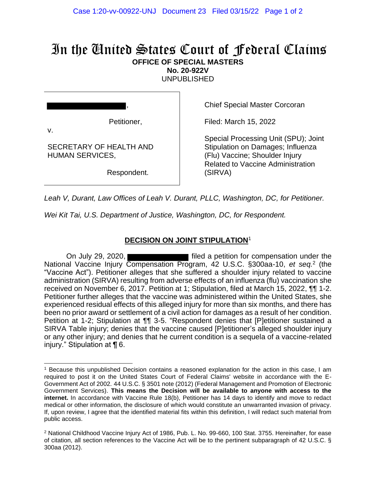## In the United States Court of Federal Claims **OFFICE OF SPECIAL MASTERS**

**No. 20-922V**

UNPUBLISHED

Petitioner,

SECRETARY OF HEALTH AND

HUMAN SERVICES,

,

Chief Special Master Corcoran

Filed: March 15, 2022

Special Processing Unit (SPU); Joint Stipulation on Damages; Influenza (Flu) Vaccine; Shoulder Injury Related to Vaccine Administration (SIRVA)

Respondent.

*Leah V, Durant, Law Offices of Leah V. Durant, PLLC, Washington, DC, for Petitioner.*

*Wei Kit Tai, U.S. Department of Justice, Washington, DC, for Respondent.*

## **DECISION ON JOINT STIPULATION**<sup>1</sup>

On July 29, 2020, National Vaccine Injury Compensation Program, 42 U.S.C. §300aa-10, et seq.<sup>2</sup> (the "Vaccine Act"). Petitioner alleges that she suffered a shoulder injury related to vaccine administration (SIRVA) resulting from adverse effects of an influenza (flu) vaccination she received on November 6, 2017. Petition at 1; Stipulation, filed at March 15, 2022,  $\P\P$  1-2. Petitioner further alleges that the vaccine was administered within the United States, she experienced residual effects of this alleged injury for more than six months, and there has been no prior award or settlement of a civil action for damages as a result of her condition. Petition at 1-2; Stipulation at ¶¶ 3-5. "Respondent denies that [P]etitioner sustained a SIRVA Table injury; denies that the vaccine caused [P]etitioner's alleged shoulder injury or any other injury; and denies that he current condition is a sequela of a vaccine-related injury." Stipulation at ¶ 6.

<sup>1</sup> Because this unpublished Decision contains a reasoned explanation for the action in this case, I am required to post it on the United States Court of Federal Claims' website in accordance with the E-Government Act of 2002. 44 U.S.C. § 3501 note (2012) (Federal Management and Promotion of Electronic Government Services). **This means the Decision will be available to anyone with access to the internet.** In accordance with Vaccine Rule 18(b), Petitioner has 14 days to identify and move to redact medical or other information, the disclosure of which would constitute an unwarranted invasion of privacy. If, upon review, I agree that the identified material fits within this definition, I will redact such material from public access.

<sup>2</sup> National Childhood Vaccine Injury Act of 1986, Pub. L. No. 99-660, 100 Stat. 3755. Hereinafter, for ease of citation, all section references to the Vaccine Act will be to the pertinent subparagraph of 42 U.S.C. § 300aa (2012).